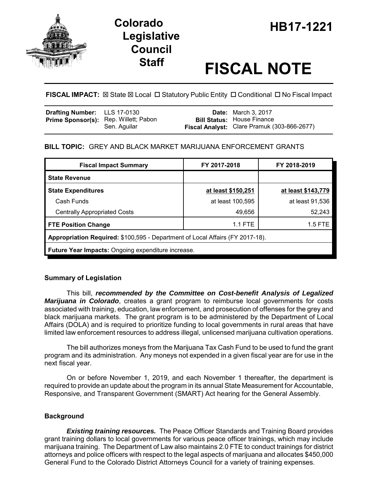

## **HB17-1221 Colorado Legislative Council**

# **Staff FISCAL NOTE**

**FISCAL IMPACT:**  $\boxtimes$  **State**  $\boxtimes$  **Local □ Statutory Public Entity □ Conditional □ No Fiscal Impact** 

| Drafting Number: LLS 17-0130 |                                              | <b>Date:</b> March 3, 2017                  |
|------------------------------|----------------------------------------------|---------------------------------------------|
|                              | <b>Prime Sponsor(s):</b> Rep. Willett; Pabon | <b>Bill Status:</b> House Finance           |
|                              | Sen. Aquilar                                 | Fiscal Analyst: Clare Pramuk (303-866-2677) |

#### **BILL TOPIC:** GREY AND BLACK MARKET MARIJUANA ENFORCEMENT GRANTS

| <b>Fiscal Impact Summary</b>                                                  | FY 2017-2018       | FY 2018-2019       |  |  |  |
|-------------------------------------------------------------------------------|--------------------|--------------------|--|--|--|
| <b>State Revenue</b>                                                          |                    |                    |  |  |  |
| <b>State Expenditures</b>                                                     | at least \$150,251 | at least \$143,779 |  |  |  |
| Cash Funds                                                                    | at least 100,595   | at least 91,536    |  |  |  |
| <b>Centrally Appropriated Costs</b>                                           | 49,656             | 52,243             |  |  |  |
| <b>FTE Position Change</b>                                                    | $1.1$ FTE          | $1.5$ FTE          |  |  |  |
| Appropriation Required: \$100,595 - Department of Local Affairs (FY 2017-18). |                    |                    |  |  |  |
| <b>Future Year Impacts: Ongoing expenditure increase.</b>                     |                    |                    |  |  |  |

#### **Summary of Legislation**

This bill, *recommended by the Committee on Cost-benefit Analysis of Legalized Marijuana in Colorado*, creates a grant program to reimburse local governments for costs associated with training, education, law enforcement, and prosecution of offenses for the grey and black marijuana markets. The grant program is to be administered by the Department of Local Affairs (DOLA) and is required to prioritize funding to local governments in rural areas that have limited law enforcement resources to address illegal, unlicensed marijuana cultivation operations.

The bill authorizes moneys from the Marijuana Tax Cash Fund to be used to fund the grant program and its administration. Any moneys not expended in a given fiscal year are for use in the next fiscal year.

On or before November 1, 2019, and each November 1 thereafter, the department is required to provide an update about the program in its annual State Measurement for Accountable, Responsive, and Transparent Government (SMART) Act hearing for the General Assembly.

#### **Background**

*Existing training resources.* The Peace Officer Standards and Training Board provides grant training dollars to local governments for various peace officer trainings, which may include marijuana training. The Department of Law also maintains 2.0 FTE to conduct trainings for district attorneys and police officers with respect to the legal aspects of marijuana and allocates \$450,000 General Fund to the Colorado District Attorneys Council for a variety of training expenses.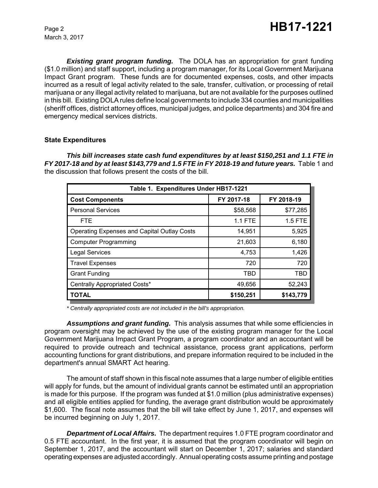March 3, 2017

*Existing grant program funding.* The DOLA has an appropriation for grant funding (\$1.0 million) and staff support, including a program manager, for its Local Government Marijuana Impact Grant program. These funds are for documented expenses, costs, and other impacts incurred as a result of legal activity related to the sale, transfer, cultivation, or processing of retail marijuana or any illegal activity related to marijuana, but are not available for the purposes outlined in this bill. Existing DOLA rules define local governments to include 334 counties and municipalities (sheriff offices, district attorney offices, municipal judges, and police departments) and 304 fire and emergency medical services districts.

#### **State Expenditures**

*This bill increases state cash fund expenditures by at least \$150,251 and 1.1 FTE in FY 2017-18 and by at least \$143,779 and 1.5 FTE in FY 2018-19 and future years.* Table 1 and the discussion that follows present the costs of the bill.

| Table 1. Expenditures Under HB17-1221              |                |                |  |  |  |  |
|----------------------------------------------------|----------------|----------------|--|--|--|--|
| <b>Cost Components</b>                             | FY 2017-18     | FY 2018-19     |  |  |  |  |
| <b>Personal Services</b>                           | \$58,568       | \$77,285       |  |  |  |  |
| <b>FTE</b>                                         | <b>1.1 FTE</b> | <b>1.5 FTE</b> |  |  |  |  |
| <b>Operating Expenses and Capital Outlay Costs</b> | 14,951         | 5,925          |  |  |  |  |
| <b>Computer Programming</b>                        | 21,603         | 6,180          |  |  |  |  |
| <b>Legal Services</b>                              | 4,753          | 1,426          |  |  |  |  |
| <b>Travel Expenses</b>                             | 720            | 720            |  |  |  |  |
| <b>Grant Funding</b>                               | TBD            | TBD            |  |  |  |  |
| Centrally Appropriated Costs*                      | 49,656         | 52,243         |  |  |  |  |
| <b>TOTAL</b>                                       | \$150,251      | \$143,779      |  |  |  |  |

*\* Centrally appropriated costs are not included in the bill's appropriation.*

*Assumptions and grant funding.* This analysis assumes that while some efficiencies in program oversight may be achieved by the use of the existing program manager for the Local Government Marijuana Impact Grant Program, a program coordinator and an accountant will be required to provide outreach and technical assistance, process grant applications, perform accounting functions for grant distributions, and prepare information required to be included in the department's annual SMART Act hearing.

The amount of staff shown in this fiscal note assumes that a large number of eligible entities will apply for funds, but the amount of individual grants cannot be estimated until an appropriation is made for this purpose. If the program was funded at \$1.0 million (plus administrative expenses) and all eligible entities applied for funding, the average grant distribution would be approximately \$1,600. The fiscal note assumes that the bill will take effect by June 1, 2017, and expenses will be incurred beginning on July 1, 2017.

*Department of Local Affairs.* The department requires 1.0 FTE program coordinator and 0.5 FTE accountant. In the first year, it is assumed that the program coordinator will begin on September 1, 2017, and the accountant will start on December 1, 2017; salaries and standard operating expenses are adjusted accordingly. Annual operating costs assume printing and postage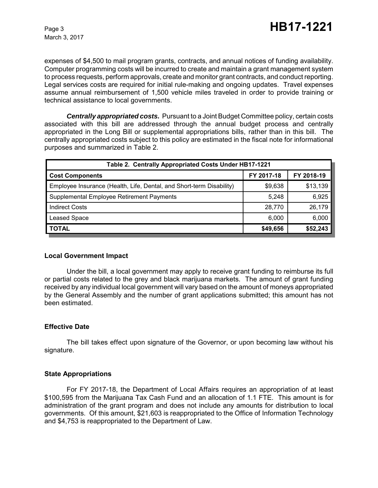expenses of \$4,500 to mail program grants, contracts, and annual notices of funding availability. Computer programming costs will be incurred to create and maintain a grant management system to process requests, perform approvals, create and monitor grant contracts, and conduct reporting. Legal services costs are required for initial rule-making and ongoing updates. Travel expenses assume annual reimbursement of 1,500 vehicle miles traveled in order to provide training or technical assistance to local governments.

*Centrally appropriated costs.* Pursuant to a Joint Budget Committee policy, certain costs associated with this bill are addressed through the annual budget process and centrally appropriated in the Long Bill or supplemental appropriations bills, rather than in this bill. The centrally appropriated costs subject to this policy are estimated in the fiscal note for informational purposes and summarized in Table 2.

| Table 2. Centrally Appropriated Costs Under HB17-1221                |            |            |  |  |  |
|----------------------------------------------------------------------|------------|------------|--|--|--|
| <b>Cost Components</b>                                               | FY 2017-18 | FY 2018-19 |  |  |  |
| Employee Insurance (Health, Life, Dental, and Short-term Disability) | \$9,638    | \$13,139   |  |  |  |
| Supplemental Employee Retirement Payments                            | 5.248      | 6,925      |  |  |  |
| <b>Indirect Costs</b>                                                | 28,770     | 26,179     |  |  |  |
| <b>Leased Space</b>                                                  | 6,000      | 6,000      |  |  |  |
| <b>TOTAL</b>                                                         | \$49,656   | \$52,243   |  |  |  |

#### **Local Government Impact**

Under the bill, a local government may apply to receive grant funding to reimburse its full or partial costs related to the grey and black marijuana markets. The amount of grant funding received by any individual local government will vary based on the amount of moneys appropriated by the General Assembly and the number of grant applications submitted; this amount has not been estimated.

#### **Effective Date**

The bill takes effect upon signature of the Governor, or upon becoming law without his signature.

#### **State Appropriations**

For FY 2017-18, the Department of Local Affairs requires an appropriation of at least \$100,595 from the Marijuana Tax Cash Fund and an allocation of 1.1 FTE. This amount is for administration of the grant program and does not include any amounts for distribution to local governments. Of this amount, \$21,603 is reappropriated to the Office of Information Technology and \$4,753 is reappropriated to the Department of Law.